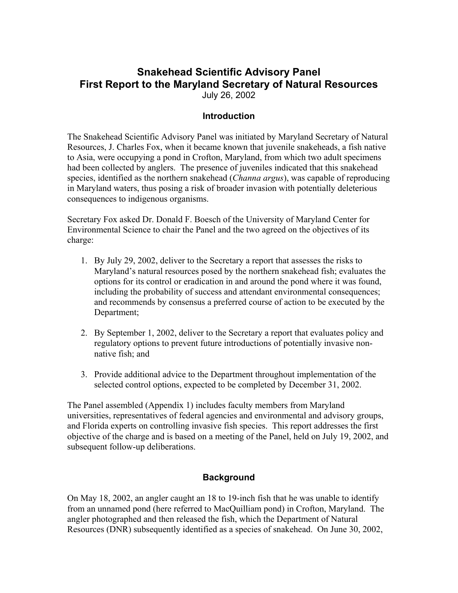# **Snakehead Scientific Advisory Panel First Report to the Maryland Secretary of Natural Resources**  July 26, 2002

## **Introduction**

The Snakehead Scientific Advisory Panel was initiated by Maryland Secretary of Natural Resources, J. Charles Fox, when it became known that juvenile snakeheads, a fish native to Asia, were occupying a pond in Crofton, Maryland, from which two adult specimens had been collected by anglers. The presence of juveniles indicated that this snakehead species, identified as the northern snakehead (*Channa argus*), was capable of reproducing in Maryland waters, thus posing a risk of broader invasion with potentially deleterious consequences to indigenous organisms.

Secretary Fox asked Dr. Donald F. Boesch of the University of Maryland Center for Environmental Science to chair the Panel and the two agreed on the objectives of its charge:

- 1. By July 29, 2002, deliver to the Secretary a report that assesses the risks to Maryland's natural resources posed by the northern snakehead fish; evaluates the options for its control or eradication in and around the pond where it was found, including the probability of success and attendant environmental consequences; and recommends by consensus a preferred course of action to be executed by the Department;
- 2. By September 1, 2002, deliver to the Secretary a report that evaluates policy and regulatory options to prevent future introductions of potentially invasive nonnative fish; and
- 3. Provide additional advice to the Department throughout implementation of the selected control options, expected to be completed by December 31, 2002.

The Panel assembled (Appendix 1) includes faculty members from Maryland universities, representatives of federal agencies and environmental and advisory groups, and Florida experts on controlling invasive fish species. This report addresses the first objective of the charge and is based on a meeting of the Panel, held on July 19, 2002, and subsequent follow-up deliberations.

# **Background**

On May 18, 2002, an angler caught an 18 to 19-inch fish that he was unable to identify from an unnamed pond (here referred to MacQuilliam pond) in Crofton, Maryland. The angler photographed and then released the fish, which the Department of Natural Resources (DNR) subsequently identified as a species of snakehead. On June 30, 2002,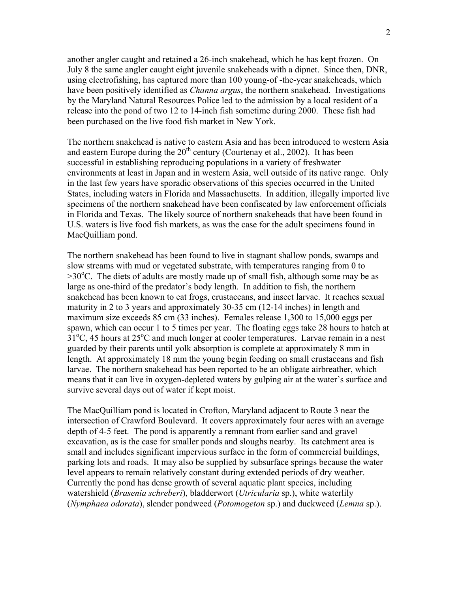another angler caught and retained a 26-inch snakehead, which he has kept frozen. On July 8 the same angler caught eight juvenile snakeheads with a dipnet. Since then, DNR, using electrofishing, has captured more than 100 young-of -the-year snakeheads, which have been positively identified as *Channa argus*, the northern snakehead. Investigations by the Maryland Natural Resources Police led to the admission by a local resident of a release into the pond of two 12 to 14-inch fish sometime during 2000. These fish had been purchased on the live food fish market in New York.

The northern snakehead is native to eastern Asia and has been introduced to western Asia and eastern Europe during the  $20<sup>th</sup>$  century (Courtenay et al., 2002). It has been successful in establishing reproducing populations in a variety of freshwater environments at least in Japan and in western Asia, well outside of its native range. Only in the last few years have sporadic observations of this species occurred in the United States, including waters in Florida and Massachusetts. In addition, illegally imported live specimens of the northern snakehead have been confiscated by law enforcement officials in Florida and Texas. The likely source of northern snakeheads that have been found in U.S. waters is live food fish markets, as was the case for the adult specimens found in MacQuilliam pond.

The northern snakehead has been found to live in stagnant shallow ponds, swamps and slow streams with mud or vegetated substrate, with temperatures ranging from 0 to >30°C. The diets of adults are mostly made up of small fish, although some may be as large as one-third of the predator's body length. In addition to fish, the northern snakehead has been known to eat frogs, crustaceans, and insect larvae. It reaches sexual maturity in 2 to 3 years and approximately 30-35 cm (12-14 inches) in length and maximum size exceeds 85 cm (33 inches). Females release 1,300 to 15,000 eggs per spawn, which can occur 1 to 5 times per year. The floating eggs take 28 hours to hatch at  $31^{\circ}$ C, 45 hours at 25 $^{\circ}$ C and much longer at cooler temperatures. Larvae remain in a nest guarded by their parents until yolk absorption is complete at approximately 8 mm in length. At approximately 18 mm the young begin feeding on small crustaceans and fish larvae. The northern snakehead has been reported to be an obligate airbreather, which means that it can live in oxygen-depleted waters by gulping air at the water's surface and survive several days out of water if kept moist.

The MacQuilliam pond is located in Crofton, Maryland adjacent to Route 3 near the intersection of Crawford Boulevard. It covers approximately four acres with an average depth of 4-5 feet. The pond is apparently a remnant from earlier sand and gravel excavation, as is the case for smaller ponds and sloughs nearby. Its catchment area is small and includes significant impervious surface in the form of commercial buildings, parking lots and roads. It may also be supplied by subsurface springs because the water level appears to remain relatively constant during extended periods of dry weather. Currently the pond has dense growth of several aquatic plant species, including watershield (*Brasenia schreberi*), bladderwort (*Utricularia* sp.), white waterlily (*Nymphaea odorata*), slender pondweed (*Potomogeton* sp.) and duckweed (*Lemna* sp.).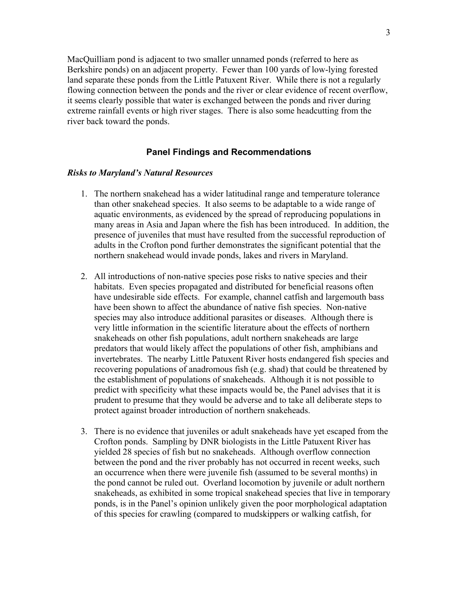MacQuilliam pond is adjacent to two smaller unnamed ponds (referred to here as Berkshire ponds) on an adjacent property. Fewer than 100 yards of low-lying forested land separate these ponds from the Little Patuxent River. While there is not a regularly flowing connection between the ponds and the river or clear evidence of recent overflow, it seems clearly possible that water is exchanged between the ponds and river during extreme rainfall events or high river stages. There is also some headcutting from the river back toward the ponds.

#### **Panel Findings and Recommendations**

#### *Risks to Maryland's Natural Resources*

- 1. The northern snakehead has a wider latitudinal range and temperature tolerance than other snakehead species. It also seems to be adaptable to a wide range of aquatic environments, as evidenced by the spread of reproducing populations in many areas in Asia and Japan where the fish has been introduced. In addition, the presence of juveniles that must have resulted from the successful reproduction of adults in the Crofton pond further demonstrates the significant potential that the northern snakehead would invade ponds, lakes and rivers in Maryland.
- 2. All introductions of non-native species pose risks to native species and their habitats. Even species propagated and distributed for beneficial reasons often have undesirable side effects. For example, channel catfish and largemouth bass have been shown to affect the abundance of native fish species. Non-native species may also introduce additional parasites or diseases. Although there is very little information in the scientific literature about the effects of northern snakeheads on other fish populations, adult northern snakeheads are large predators that would likely affect the populations of other fish, amphibians and invertebrates. The nearby Little Patuxent River hosts endangered fish species and recovering populations of anadromous fish (e.g. shad) that could be threatened by the establishment of populations of snakeheads. Although it is not possible to predict with specificity what these impacts would be, the Panel advises that it is prudent to presume that they would be adverse and to take all deliberate steps to protect against broader introduction of northern snakeheads.
- 3. There is no evidence that juveniles or adult snakeheads have yet escaped from the Crofton ponds. Sampling by DNR biologists in the Little Patuxent River has yielded 28 species of fish but no snakeheads. Although overflow connection between the pond and the river probably has not occurred in recent weeks, such an occurrence when there were juvenile fish (assumed to be several months) in the pond cannot be ruled out. Overland locomotion by juvenile or adult northern snakeheads, as exhibited in some tropical snakehead species that live in temporary ponds, is in the Panel's opinion unlikely given the poor morphological adaptation of this species for crawling (compared to mudskippers or walking catfish, for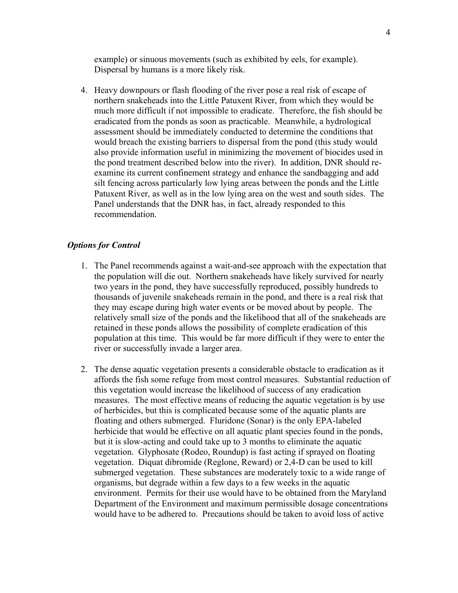example) or sinuous movements (such as exhibited by eels, for example). Dispersal by humans is a more likely risk.

4. Heavy downpours or flash flooding of the river pose a real risk of escape of northern snakeheads into the Little Patuxent River, from which they would be much more difficult if not impossible to eradicate. Therefore, the fish should be eradicated from the ponds as soon as practicable. Meanwhile, a hydrological assessment should be immediately conducted to determine the conditions that would breach the existing barriers to dispersal from the pond (this study would also provide information useful in minimizing the movement of biocides used in the pond treatment described below into the river). In addition, DNR should reexamine its current confinement strategy and enhance the sandbagging and add silt fencing across particularly low lying areas between the ponds and the Little Patuxent River, as well as in the low lying area on the west and south sides. The Panel understands that the DNR has, in fact, already responded to this recommendation.

### *Options for Control*

- 1. The Panel recommends against a wait-and-see approach with the expectation that the population will die out. Northern snakeheads have likely survived for nearly two years in the pond, they have successfully reproduced, possibly hundreds to thousands of juvenile snakeheads remain in the pond, and there is a real risk that they may escape during high water events or be moved about by people. The relatively small size of the ponds and the likelihood that all of the snakeheads are retained in these ponds allows the possibility of complete eradication of this population at this time. This would be far more difficult if they were to enter the river or successfully invade a larger area.
- 2. The dense aquatic vegetation presents a considerable obstacle to eradication as it affords the fish some refuge from most control measures. Substantial reduction of this vegetation would increase the likelihood of success of any eradication measures. The most effective means of reducing the aquatic vegetation is by use of herbicides, but this is complicated because some of the aquatic plants are floating and others submerged. Fluridone (Sonar) is the only EPA-labeled herbicide that would be effective on all aquatic plant species found in the ponds, but it is slow-acting and could take up to 3 months to eliminate the aquatic vegetation. Glyphosate (Rodeo, Roundup) is fast acting if sprayed on floating vegetation. Diquat dibromide (Reglone, Reward) or 2,4-D can be used to kill submerged vegetation. These substances are moderately toxic to a wide range of organisms, but degrade within a few days to a few weeks in the aquatic environment. Permits for their use would have to be obtained from the Maryland Department of the Environment and maximum permissible dosage concentrations would have to be adhered to. Precautions should be taken to avoid loss of active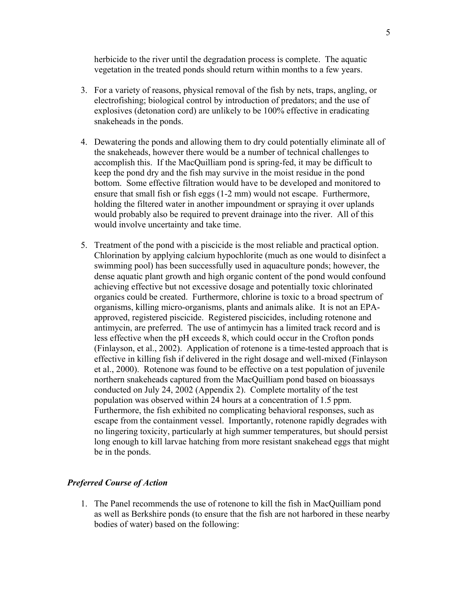herbicide to the river until the degradation process is complete. The aquatic vegetation in the treated ponds should return within months to a few years.

- 3. For a variety of reasons, physical removal of the fish by nets, traps, angling, or electrofishing; biological control by introduction of predators; and the use of explosives (detonation cord) are unlikely to be 100% effective in eradicating snakeheads in the ponds.
- 4. Dewatering the ponds and allowing them to dry could potentially eliminate all of the snakeheads, however there would be a number of technical challenges to accomplish this. If the MacQuilliam pond is spring-fed, it may be difficult to keep the pond dry and the fish may survive in the moist residue in the pond bottom. Some effective filtration would have to be developed and monitored to ensure that small fish or fish eggs (1-2 mm) would not escape. Furthermore, holding the filtered water in another impoundment or spraying it over uplands would probably also be required to prevent drainage into the river. All of this would involve uncertainty and take time.
- 5. Treatment of the pond with a piscicide is the most reliable and practical option. Chlorination by applying calcium hypochlorite (much as one would to disinfect a swimming pool) has been successfully used in aquaculture ponds; however, the dense aquatic plant growth and high organic content of the pond would confound achieving effective but not excessive dosage and potentially toxic chlorinated organics could be created. Furthermore, chlorine is toxic to a broad spectrum of organisms, killing micro-organisms, plants and animals alike. It is not an EPAapproved, registered piscicide. Registered piscicides, including rotenone and antimycin, are preferred. The use of antimycin has a limited track record and is less effective when the pH exceeds 8, which could occur in the Crofton ponds (Finlayson, et al., 2002). Application of rotenone is a time-tested approach that is effective in killing fish if delivered in the right dosage and well-mixed (Finlayson et al., 2000). Rotenone was found to be effective on a test population of juvenile northern snakeheads captured from the MacQuilliam pond based on bioassays conducted on July 24, 2002 (Appendix 2). Complete mortality of the test population was observed within 24 hours at a concentration of 1.5 ppm. Furthermore, the fish exhibited no complicating behavioral responses, such as escape from the containment vessel. Importantly, rotenone rapidly degrades with no lingering toxicity, particularly at high summer temperatures, but should persist long enough to kill larvae hatching from more resistant snakehead eggs that might be in the ponds.

### *Preferred Course of Action*

1. The Panel recommends the use of rotenone to kill the fish in MacQuilliam pond as well as Berkshire ponds (to ensure that the fish are not harbored in these nearby bodies of water) based on the following: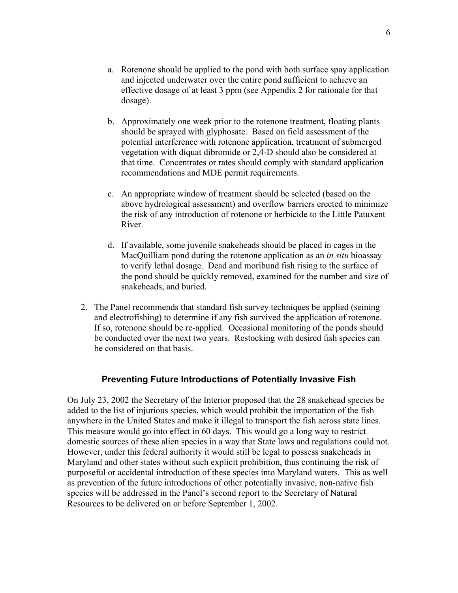- a. Rotenone should be applied to the pond with both surface spay application and injected underwater over the entire pond sufficient to achieve an effective dosage of at least 3 ppm (see Appendix 2 for rationale for that dosage).
- b. Approximately one week prior to the rotenone treatment, floating plants should be sprayed with glyphosate. Based on field assessment of the potential interference with rotenone application, treatment of submerged vegetation with diquat dibromide or 2,4-D should also be considered at that time. Concentrates or rates should comply with standard application recommendations and MDE permit requirements.
- c. An appropriate window of treatment should be selected (based on the above hydrological assessment) and overflow barriers erected to minimize the risk of any introduction of rotenone or herbicide to the Little Patuxent River.
- d. If available, some juvenile snakeheads should be placed in cages in the MacQuilliam pond during the rotenone application as an *in situ* bioassay to verify lethal dosage. Dead and moribund fish rising to the surface of the pond should be quickly removed, examined for the number and size of snakeheads, and buried.
- 2. The Panel recommends that standard fish survey techniques be applied (seining and electrofishing) to determine if any fish survived the application of rotenone. If so, rotenone should be re-applied. Occasional monitoring of the ponds should be conducted over the next two years. Restocking with desired fish species can be considered on that basis.

## **Preventing Future Introductions of Potentially Invasive Fish**

On July 23, 2002 the Secretary of the Interior proposed that the 28 snakehead species be added to the list of injurious species, which would prohibit the importation of the fish anywhere in the United States and make it illegal to transport the fish across state lines. This measure would go into effect in 60 days. This would go a long way to restrict domestic sources of these alien species in a way that State laws and regulations could not. However, under this federal authority it would still be legal to possess snakeheads in Maryland and other states without such explicit prohibition, thus continuing the risk of purposeful or accidental introduction of these species into Maryland waters. This as well as prevention of the future introductions of other potentially invasive, non-native fish species will be addressed in the Panel's second report to the Secretary of Natural Resources to be delivered on or before September 1, 2002.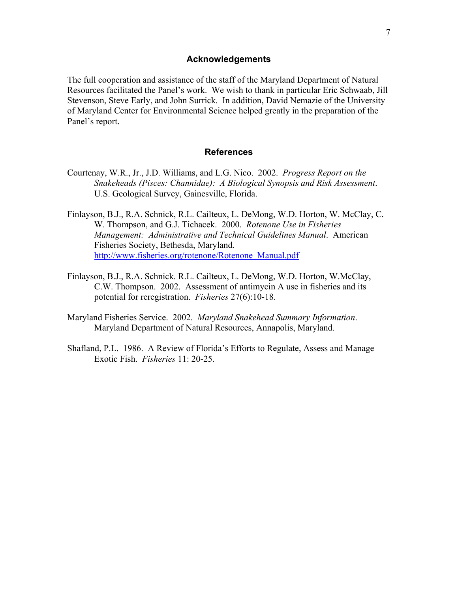#### **Acknowledgements**

The full cooperation and assistance of the staff of the Maryland Department of Natural Resources facilitated the Panel's work. We wish to thank in particular Eric Schwaab, Jill Stevenson, Steve Early, and John Surrick. In addition, David Nemazie of the University of Maryland Center for Environmental Science helped greatly in the preparation of the Panel's report.

#### **References**

- Courtenay, W.R., Jr., J.D. Williams, and L.G. Nico. 2002. *Progress Report on the Snakeheads (Pisces: Channidae): A Biological Synopsis and Risk Assessment*. U.S. Geological Survey, Gainesville, Florida.
- Finlayson, B.J., R.A. Schnick, R.L. Cailteux, L. DeMong, W.D. Horton, W. McClay, C. W. Thompson, and G.J. Tichacek. 2000. *Rotenone Use in Fisheries Management: Administrative and Technical Guidelines Manual*. American Fisheries Society, Bethesda, Maryland. [http://www.fisheries.org/rotenone/Rotenone\\_Manual.pdf](http://www.fisheries.org/rotenone/Rotenone_Manual.pdf)
- Finlayson, B.J., R.A. Schnick. R.L. Cailteux, L. DeMong, W.D. Horton, W.McClay, C.W. Thompson. 2002. Assessment of antimycin A use in fisheries and its potential for reregistration. *Fisheries* 27(6):10-18.
- Maryland Fisheries Service. 2002. *Maryland Snakehead Summary Information*. Maryland Department of Natural Resources, Annapolis, Maryland.
- Shafland, P.L. 1986. A Review of Florida's Efforts to Regulate, Assess and Manage Exotic Fish. *Fisheries* 11: 20-25.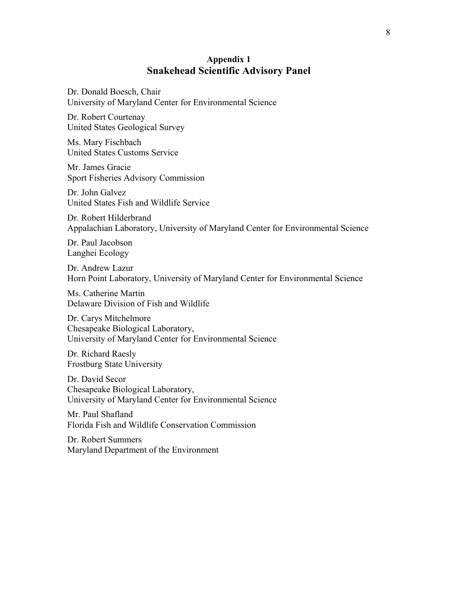## **Appendix 1 Snakehead Scientific Advisory Panel**

Dr. Donald Boesch, Chair University of Maryland Center for Environmental Science

Dr. Robert Courtenay United States Geological Survey

Ms. Mary Fischbach United States Customs Service

Mr. James Gracie Sport Fisheries Advisory Commission

Dr. John Galvez United States Fish and Wildlife Service

Dr. Robert Hilderbrand Appalachian Laboratory, University of Maryland Center for Environmental Science

Dr. Paul Jacobson Langhei Ecology

Dr. Andrew Lazur Horn Point Laboratory, University of Maryland Center for Environmental Science

Ms. Catherine Martin Delaware Division of Fish and Wildlife

Dr. Carys Mitchelmore Chesapeake Biological Laboratory, University of Maryland Center for Environmental Science

Dr. Richard Raesly Frostburg State University

Dr. David Secor Chesapeake Biological Laboratory, University of Maryland Center for Environmental Science

Mr. Paul Shafland Florida Fish and Wildlife Conservation Commission

Dr. Robert Summers Maryland Department of the Environment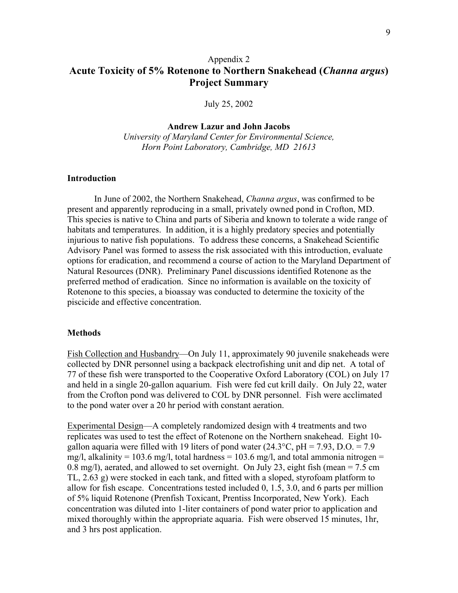# Appendix 2 **Acute Toxicity of 5% Rotenone to Northern Snakehead (***Channa argus***) Project Summary**

July 25, 2002

**Andrew Lazur and John Jacobs** 

*University of Maryland Center for Environmental Science, Horn Point Laboratory, Cambridge, MD 21613* 

#### **Introduction**

 In June of 2002, the Northern Snakehead, *Channa argus*, was confirmed to be present and apparently reproducing in a small, privately owned pond in Crofton, MD. This species is native to China and parts of Siberia and known to tolerate a wide range of habitats and temperatures. In addition, it is a highly predatory species and potentially injurious to native fish populations. To address these concerns, a Snakehead Scientific Advisory Panel was formed to assess the risk associated with this introduction, evaluate options for eradication, and recommend a course of action to the Maryland Department of Natural Resources (DNR). Preliminary Panel discussions identified Rotenone as the preferred method of eradication. Since no information is available on the toxicity of Rotenone to this species, a bioassay was conducted to determine the toxicity of the piscicide and effective concentration.

#### **Methods**

Fish Collection and Husbandry—On July 11, approximately 90 juvenile snakeheads were collected by DNR personnel using a backpack electrofishing unit and dip net. A total of 77 of these fish were transported to the Cooperative Oxford Laboratory (COL) on July 17 and held in a single 20-gallon aquarium. Fish were fed cut krill daily. On July 22, water from the Crofton pond was delivered to COL by DNR personnel. Fish were acclimated to the pond water over a 20 hr period with constant aeration.

Experimental Design—A completely randomized design with 4 treatments and two replicates was used to test the effect of Rotenone on the Northern snakehead. Eight 10 gallon aquaria were filled with 19 liters of pond water ( $24.3^{\circ}$ C, pH = 7.93, D.O. = 7.9 mg/l, alkalinity = 103.6 mg/l, total hardness = 103.6 mg/l, and total ammonia nitrogen = 0.8 mg/l), aerated, and allowed to set overnight. On July 23, eight fish (mean = 7.5 cm TL, 2.63 g) were stocked in each tank, and fitted with a sloped, styrofoam platform to allow for fish escape. Concentrations tested included 0, 1.5, 3.0, and 6 parts per million of 5% liquid Rotenone (Prenfish Toxicant, Prentiss Incorporated, New York). Each concentration was diluted into 1-liter containers of pond water prior to application and mixed thoroughly within the appropriate aquaria. Fish were observed 15 minutes, 1hr, and 3 hrs post application.